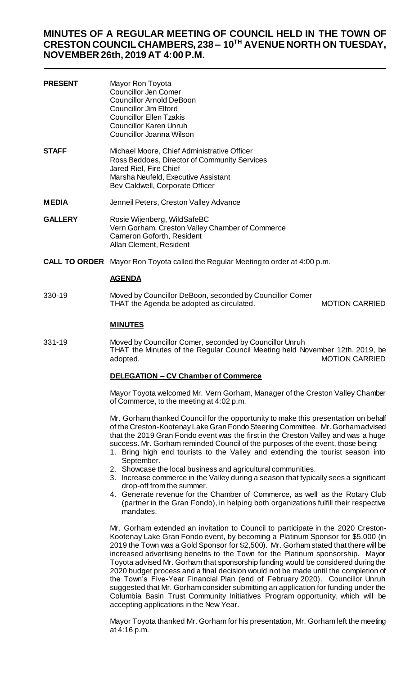# **MINUTES OF A REGULAR MEETING OF COUNCIL HELD IN THE TOWN OF CRESTON COUNCIL CHAMBERS, 238 – 10TH AVENUE NORTH ON TUESDAY, NOVEMBER 26th, 2019 AT 4:00 P.M.**

| <b>PRESENT</b> | Mayor Ron Toyota<br><b>Councillor Jen Comer</b><br><b>Councillor Arnold DeBoon</b><br>Councillor Jim Elford<br><b>Councillor Ellen Tzakis</b><br><b>Councillor Karen Unruh</b><br>Councillor Joanna Wilson |
|----------------|------------------------------------------------------------------------------------------------------------------------------------------------------------------------------------------------------------|
| STAFF          | Michael Moore, Chief Administrative Officer<br>Ross Beddoes, Director of Community Services<br>Jared Riel, Fire Chief<br>Marsha Neufeld, Executive Assistant<br>Bev Caldwell, Corporate Officer            |
| <b>MEDIA</b>   | Jenneil Peters, Creston Valley Advance                                                                                                                                                                     |
| <b>GALLERY</b> | Rosie Wijenberg, WildSafeBC<br>Vern Gorham, Creston Valley Chamber of Commerce<br>Cameron Goforth, Resident<br>Allan Clement, Resident                                                                     |
|                | <b>CALL TO ORDER</b> Mayor Ron Toyota called the Regular Meeting to order at 4:00 p.m.                                                                                                                     |
|                | <b>AGENDA</b>                                                                                                                                                                                              |

330-19 Moved by Councillor DeBoon, seconded by Councillor Comer THAT the Agenda be adopted as circulated. MOTION CARRIED

 $\frac{1}{2}$ 

#### **MINUTES**

331-19 Moved by Councillor Comer, seconded by Councillor Unruh THAT the Minutes of the Regular Council Meeting held November 12th, 2019, be adopted. MOTION CARRIED

#### **DELEGATION – CV Chamber of Commerce**

Mayor Toyota welcomed Mr. Vern Gorham, Manager of the Creston Valley Chamber of Commerce, to the meeting at 4:02 p.m.

Mr. Gorham thanked Council for the opportunity to make this presentation on behalf of the Creston-Kootenay Lake Gran Fondo Steering Committee. Mr. Gorham advised that the 2019 Gran Fondo event was the first in the Creston Valley and was a huge success. Mr. Gorham reminded Council of the purposes of the event, those being:

- 1. Bring high end tourists to the Valley and extending the tourist season into September.
- 2. Showcase the local business and agricultural communities.
- 3. Increase commerce in the Valley during a season that typically sees a significant drop-off from the summer.
- 4. Generate revenue for the Chamber of Commerce, as well as the Rotary Club (partner in the Gran Fondo), in helping both organizations fulfill their respective mandates.

Mr. Gorham extended an invitation to Council to participate in the 2020 Creston-Kootenay Lake Gran Fondo event, by becoming a Platinum Sponsor for \$5,000 (in 2019 the Town was a Gold Sponsor for \$2,500). Mr. Gorham stated that there will be increased advertising benefits to the Town for the Platinum sponsorship. Mayor Toyota advised Mr. Gorham that sponsorship funding would be considered during the 2020 budget process and a final decision would not be made until the completion of the Town's Five-Year Financial Plan (end of February 2020). Councillor Unruh suggested that Mr. Gorham consider submitting an application for funding under the Columbia Basin Trust Community Initiatives Program opportunity, which will be accepting applications in the New Year.

Mayor Toyota thanked Mr. Gorham for his presentation, Mr. Gorham left the meeting at 4:16 p.m.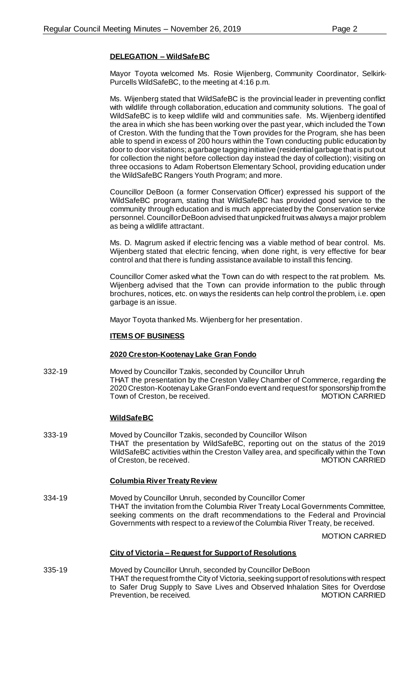# **DELEGATION – WildSafeBC**

Mayor Toyota welcomed Ms. Rosie Wijenberg, Community Coordinator, Selkirk-Purcells WildSafeBC, to the meeting at 4:16 p.m.

Ms. Wijenberg stated that WildSafeBC is the provincial leader in preventing conflict with wildlife through collaboration, education and community solutions. The goal of WildSafeBC is to keep wildlife wild and communities safe. Ms. Wijenberg identified the area in which she has been working over the past year, which included the Town of Creston. With the funding that the Town provides for the Program, she has been able to spend in excess of 200 hours within the Town conducting public education by door to door visitations; a garbage tagging initiative (residential garbage that is put out for collection the night before collection day instead the day of collection); visiting on three occasions to Adam Robertson Elementary School, providing education under the WildSafeBC Rangers Youth Program; and more.

Councillor DeBoon (a former Conservation Officer) expressed his support of the WildSafeBC program, stating that WildSafeBC has provided good service to the community through education and is much appreciated by the Conservation service personnel. Councillor DeBoon advised that unpicked fruit was always a major problem as being a wildlife attractant.

Ms. D. Magrum asked if electric fencing was a viable method of bear control. Ms. Wijenberg stated that electric fencing, when done right, is very effective for bear control and that there is funding assistance available to install this fencing.

Councillor Comer asked what the Town can do with respect to the rat problem. Ms. Wijenberg advised that the Town can provide information to the public through brochures, notices, etc. on ways the residents can help control the problem, i.e. open garbage is an issue.

Mayor Toyota thanked Ms. Wijenberg for her presentation.

### **ITEMS OF BUSINESS**

#### **2020 Creston-Kootenay Lake Gran Fondo**

332-19 Moved by Councillor Tzakis, seconded by Councillor Unruh THAT the presentation by the Creston Valley Chamber of Commerce, regarding the 2020 Creston-Kootenay Lake Gran Fondo event and request for sponsorship from the Town of Creston, be received.

# **WildSafeBC**

333-19 Moved by Councillor Tzakis, seconded by Councillor Wilson THAT the presentation by WildSafeBC, reporting out on the status of the 2019 WildSafeBC activities within the Creston Valley area, and specifically within the Town<br>of Creston. be received. MOTION CARRIED of Creston, be received.

#### **Columbia River Treaty Review**

334-19 Moved by Councillor Unruh, seconded by Councillor Comer THAT the invitation from the Columbia River Treaty Local Governments Committee, seeking comments on the draft recommendations to the Federal and Provincial Governments with respect to a review of the Columbia River Treaty, be received.

MOTION CARRIED

#### **City of Victoria – Request for Support of Resolutions**

335-19 Moved by Councillor Unruh, seconded by Councillor DeBoon THAT the request from the City of Victoria, seeking support of resolutions with respect to Safer Drug Supply to Save Lives and Observed Inhalation Sites for Overdose Prevention, be received.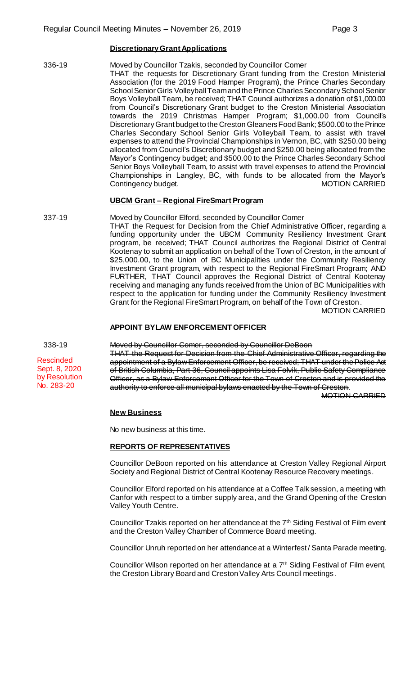#### **Discretionary Grant Applications**

#### 336-19 Moved by Councillor Tzakis, seconded by Councillor Comer

THAT the requests for Discretionary Grant funding from the Creston Ministerial Association (for the 2019 Food Hamper Program), the Prince Charles Secondary School Senior Girls Volleyball Team and the Prince Charles Secondary School Senior Boys Volleyball Team, be received; THAT Council authorizes a donation of \$1,000.00 from Council's Discretionary Grant budget to the Creston Ministerial Association towards the 2019 Christmas Hamper Program; \$1,000.00 from Council's Discretionary Grant budget to the Creston Gleaners Food Bank; \$500.00 to the Prince Charles Secondary School Senior Girls Volleyball Team, to assist with travel expenses to attend the Provincial Championships in Vernon, BC, with \$250.00 being allocated from Council's Discretionary budget and \$250.00 being allocated from the Mayor's Contingency budget; and \$500.00 to the Prince Charles Secondary School Senior Boys Volleyball Team, to assist with travel expenses to attend the Provincial Championships in Langley, BC, with funds to be allocated from the Mayor's Contingency budget. The continues of the MOTION CARRIED

#### **UBCM Grant – Regional FireSmart Program**

337-19 Moved by Councillor Elford, seconded by Councillor Comer THAT the Request for Decision from the Chief Administrative Officer, regarding a funding opportunity under the UBCM Community Resiliency Investment Grant program, be received; THAT Council authorizes the Regional District of Central Kootenay to submit an application on behalf of the Town of Creston, in the amount of \$25,000.00, to the Union of BC Municipalities under the Community Resiliency Investment Grant program, with respect to the Regional FireSmart Program; AND FURTHER, THAT Council approves the Regional District of Central Kootenay receiving and managing any funds received from the Union of BC Municipalities with respect to the application for funding under the Community Resiliency Investment Grant for the Regional FireSmart Program, on behalf of the Town of Creston. MOTION CARRIED

#### **APPOINT BYLAW ENFORCEMENT OFFICER**

Rescinded Sept. 8, 2020 by Resolution No. 283-20

338-19 Moved by Councillor Comer, seconded by Councillor DeBoon THAT the Request for Decision from the Chief Administrative Officer, regarding the appointment of a Bylaw Enforcement Officer, be received; THAT under the Police Act of British Columbia, Part 36, Council appoints Lisa Folvik, Public Safety Compliance Officer, as a Bylaw Enforcement Officer for the Town of Creston and is provided the authority to enforce all municipal bylaws enacted by the Town of Creston.

MOTION CARRIED

#### **New Business**

No new business at this time.

#### **REPORTS OF REPRESENTATIVES**

Councillor DeBoon reported on his attendance at Creston Valley Regional Airport Society and Regional District of Central Kootenay Resource Recovery meetings.

Councillor Elford reported on his attendance at a Coffee Talk session, a meeting with Canfor with respect to a timber supply area, and the Grand Opening of the Creston Valley Youth Centre.

Councillor Tzakis reported on her attendance at the 7th Siding Festival of Film event and the Creston Valley Chamber of Commerce Board meeting.

Councillor Unruh reported on her attendance at a Winterfest / Santa Parade meeting.

Councillor Wilson reported on her attendance at a 7<sup>th</sup> Siding Festival of Film event, the Creston Library Board and Creston Valley Arts Council meetings.